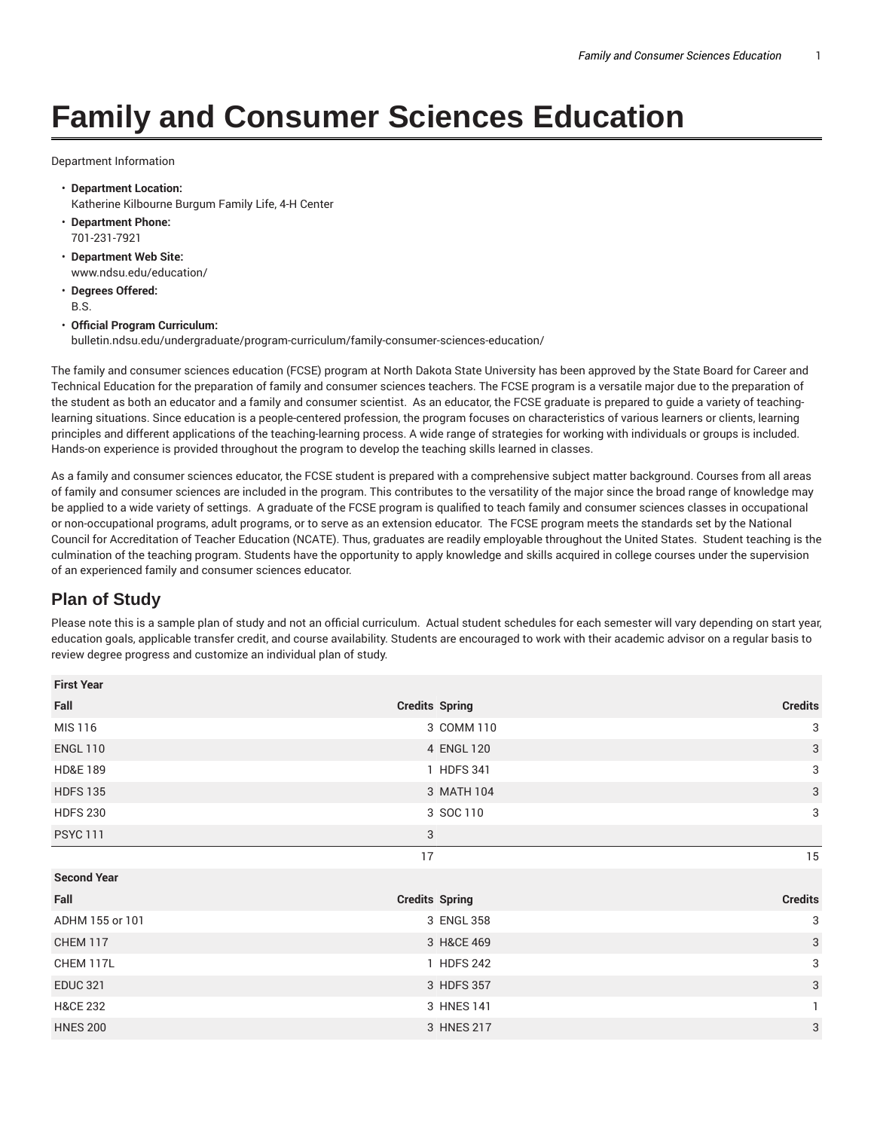## **Family and Consumer Sciences Education**

Department Information

- **Department Location:** Katherine Kilbourne Burgum Family Life, 4-H Center
- **Department Phone:** 701-231-7921
- **Department Web Site:** www.ndsu.edu/education/
- **Degrees Offered:** B.S.

## • **Official Program Curriculum:**

bulletin.ndsu.edu/undergraduate/program-curriculum/family-consumer-sciences-education/

The family and consumer sciences education (FCSE) program at North Dakota State University has been approved by the State Board for Career and Technical Education for the preparation of family and consumer sciences teachers. The FCSE program is a versatile major due to the preparation of the student as both an educator and a family and consumer scientist. As an educator, the FCSE graduate is prepared to guide a variety of teachinglearning situations. Since education is a people-centered profession, the program focuses on characteristics of various learners or clients, learning principles and different applications of the teaching-learning process. A wide range of strategies for working with individuals or groups is included. Hands-on experience is provided throughout the program to develop the teaching skills learned in classes.

As a family and consumer sciences educator, the FCSE student is prepared with a comprehensive subject matter background. Courses from all areas of family and consumer sciences are included in the program. This contributes to the versatility of the major since the broad range of knowledge may be applied to a wide variety of settings. A graduate of the FCSE program is qualified to teach family and consumer sciences classes in occupational or non-occupational programs, adult programs, or to serve as an extension educator. The FCSE program meets the standards set by the National Council for Accreditation of Teacher Education (NCATE). Thus, graduates are readily employable throughout the United States. Student teaching is the culmination of the teaching program. Students have the opportunity to apply knowledge and skills acquired in college courses under the supervision of an experienced family and consumer sciences educator.

## **Plan of Study**

Please note this is a sample plan of study and not an official curriculum. Actual student schedules for each semester will vary depending on start year, education goals, applicable transfer credit, and course availability. Students are encouraged to work with their academic advisor on a regular basis to review degree progress and customize an individual plan of study.

| <b>First Year</b>   |                       |                |
|---------------------|-----------------------|----------------|
| Fall                | <b>Credits Spring</b> | <b>Credits</b> |
| MIS 116             | 3 COMM 110            | 3              |
| <b>ENGL 110</b>     | 4 ENGL 120            | $\mathbf{3}$   |
| <b>HD&amp;E 189</b> | 1 HDFS 341            | 3              |
| <b>HDFS 135</b>     | 3 MATH 104            | $\mathbf{3}$   |
| <b>HDFS 230</b>     | 3 SOC 110             | 3              |
| <b>PSYC 111</b>     | 3                     |                |
|                     | 17                    | 15             |
| <b>Second Year</b>  |                       |                |
| Fall                | <b>Credits Spring</b> | <b>Credits</b> |
| ADHM 155 or 101     | 3 ENGL 358            | 3              |
| <b>CHEM 117</b>     | 3 H&CE 469            | $\mathbf{3}$   |
| CHEM 117L           | 1 HDFS 242            | 3              |
| <b>EDUC 321</b>     | 3 HDFS 357            | $\mathbf{3}$   |
| <b>H&amp;CE 232</b> | 3 HNES 141            |                |
| <b>HNES 200</b>     | 3 HNES 217            | 3              |